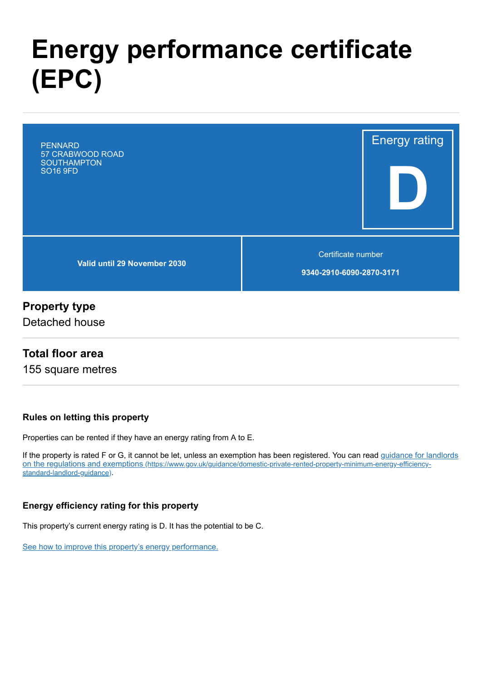# **Energy performance certificate (EPC)**

Energy rating **D Valid until 29 November 2030** Certificate number **9340-2910-6090-2870-3171** PENNARD 57 CRABWOOD ROAD **SOUTHAMPTON** SO16 9FD

### **Property type**

Detached house

### **Total floor area**

155 square metres

#### **Rules on letting this property**

Properties can be rented if they have an energy rating from A to E.

[If the property is rated F or G, it cannot be let, unless an exemption has been registered. You can read guidance for landlords](https://www.gov.uk/guidance/domestic-private-rented-property-minimum-energy-efficiency-standard-landlord-guidance) on the regulations and exemptions (https://www.gov.uk/guidance/domestic-private-rented-property-minimum-energy-efficiencystandard-landlord-guidance).

#### **Energy efficiency rating for this property**

This property's current energy rating is D. It has the potential to be C.

[See how to improve this property's energy performance.](#page-3-0)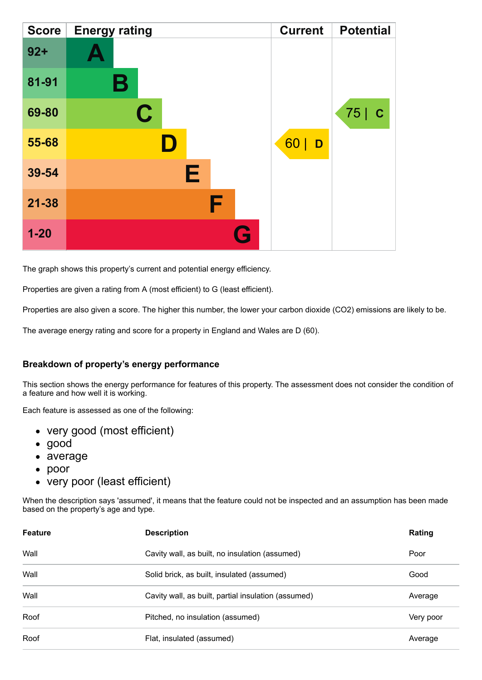| <b>Score</b> | <b>Energy rating</b> |    | <b>Current</b> | <b>Potential</b>   |
|--------------|----------------------|----|----------------|--------------------|
| $92 +$       | А                    |    |                |                    |
| 81-91        | Β                    |    |                |                    |
| 69-80        | $\mathbf C$          |    |                | 75 <br>$\mathbf C$ |
| 55-68        |                      | 60 | D              |                    |
| 39-54        | Е                    |    |                |                    |
| $21 - 38$    | F                    |    |                |                    |
| $1 - 20$     |                      | Q  |                |                    |

The graph shows this property's current and potential energy efficiency.

Properties are given a rating from A (most efficient) to G (least efficient).

Properties are also given a score. The higher this number, the lower your carbon dioxide (CO2) emissions are likely to be.

The average energy rating and score for a property in England and Wales are D (60).

#### **Breakdown of property's energy performance**

This section shows the energy performance for features of this property. The assessment does not consider the condition of a feature and how well it is working.

Each feature is assessed as one of the following:

- very good (most efficient)
- good
- average
- poor
- very poor (least efficient)

When the description says 'assumed', it means that the feature could not be inspected and an assumption has been made based on the property's age and type.

| <b>Feature</b> | <b>Description</b>                                  | Rating    |
|----------------|-----------------------------------------------------|-----------|
| Wall           | Cavity wall, as built, no insulation (assumed)      | Poor      |
| Wall           | Solid brick, as built, insulated (assumed)          | Good      |
| Wall           | Cavity wall, as built, partial insulation (assumed) | Average   |
| Roof           | Pitched, no insulation (assumed)                    | Very poor |
| Roof           | Flat, insulated (assumed)                           | Average   |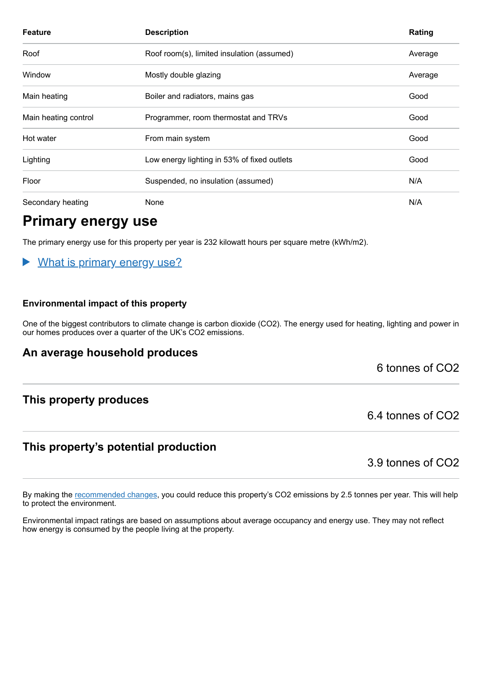| <b>Feature</b>       | <b>Description</b>                          | Rating  |
|----------------------|---------------------------------------------|---------|
| Roof                 | Roof room(s), limited insulation (assumed)  | Average |
| Window               | Mostly double glazing                       | Average |
| Main heating         | Boiler and radiators, mains gas             | Good    |
| Main heating control | Programmer, room thermostat and TRVs        | Good    |
| Hot water            | From main system                            | Good    |
| Lighting             | Low energy lighting in 53% of fixed outlets | Good    |
| Floor                | Suspended, no insulation (assumed)          | N/A     |
| Secondary heating    | None                                        | N/A     |

# **Primary energy use**

The primary energy use for this property per year is 232 kilowatt hours per square metre (kWh/m2).

#### What is primary energy use?  $\blacktriangleright$

#### **Environmental impact of this property**

One of the biggest contributors to climate change is carbon dioxide (CO2). The energy used for heating, lighting and power in our homes produces over a quarter of the UK's CO2 emissions.

#### **An average household produces**

6 tonnes of CO2

#### **This property produces**

### **This property's potential production**

3.9 tonnes of CO2

6.4 tonnes of CO2

By making the [recommended changes,](#page-3-0) you could reduce this property's CO2 emissions by 2.5 tonnes per year. This will help to protect the environment.

Environmental impact ratings are based on assumptions about average occupancy and energy use. They may not reflect how energy is consumed by the people living at the property.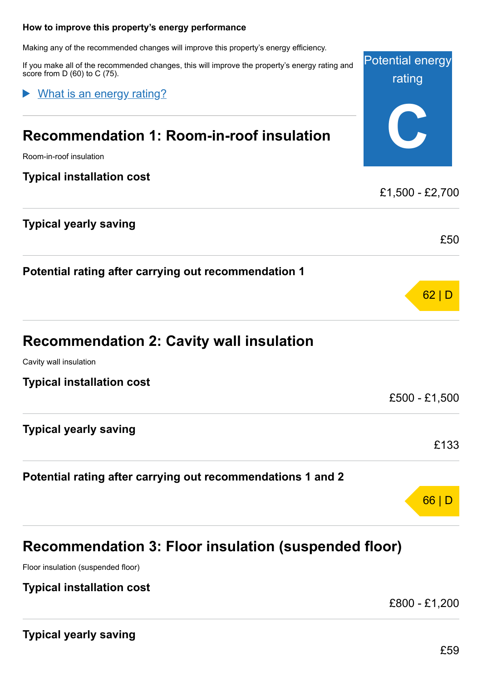#### <span id="page-3-0"></span>**How to improve this property's energy performance**

Making any of the recommended changes will improve this property's energy efficiency.

If you make all of the recommended changes, this will improve the property's energy rating and score from D (60) to C (75).

What is an energy rating?

# **Recommendation 1: Room-in-roof insulation**

Room-in-roof insulation

#### **Typical installation cost**

| <b>Typical yearly saving</b>                         |      |
|------------------------------------------------------|------|
|                                                      | £50  |
| Potential rating after carrying out recommendation 1 |      |
|                                                      | 62 D |

# **Recommendation 2: Cavity wall insulation**

Cavity wall insulation

**Typical installation cost**

**Typical yearly saving**

#### **Potential rating after carrying out recommendations 1 and 2**

# **Recommendation 3: Floor insulation (suspended floor)**

Floor insulation (suspended floor)

#### **Typical installation cost**

£800 - £1,200

£500 - £1,500

£133

66 | D

Potential energy

rating

**C**

£1,500 - £2,700

**Typical yearly saving**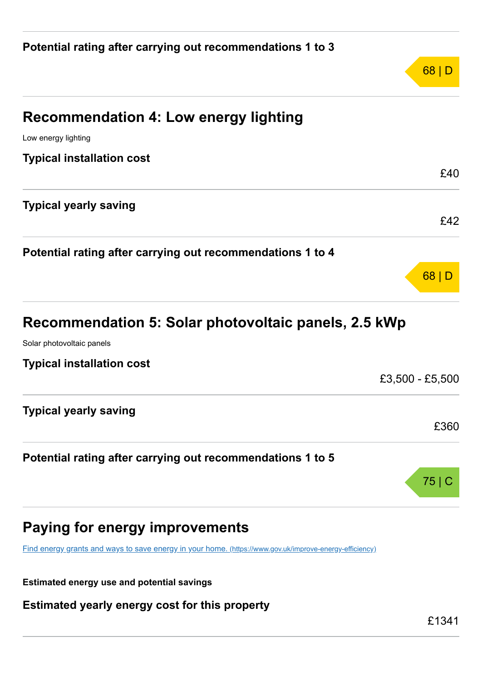| <b>Recommendation 4: Low energy lighting</b>                                                            |                 |
|---------------------------------------------------------------------------------------------------------|-----------------|
| Low energy lighting                                                                                     |                 |
| <b>Typical installation cost</b>                                                                        |                 |
|                                                                                                         | £40             |
| <b>Typical yearly saving</b>                                                                            |                 |
|                                                                                                         | £42             |
| Potential rating after carrying out recommendations 1 to 4                                              |                 |
|                                                                                                         | 68              |
| Recommendation 5: Solar photovoltaic panels, 2.5 kWp                                                    |                 |
| Solar photovoltaic panels                                                                               |                 |
| <b>Typical installation cost</b>                                                                        |                 |
|                                                                                                         | £3,500 - £5,500 |
| <b>Typical yearly saving</b>                                                                            |                 |
|                                                                                                         | £360            |
| Potential rating after carrying out recommendations 1 to 5                                              |                 |
|                                                                                                         | 75 C            |
| <b>Paying for energy improvements</b>                                                                   |                 |
| Find energy grants and ways to save energy in your home. (https://www.gov.uk/improve-energy-efficiency) |                 |
|                                                                                                         |                 |

**Estimated energy use and potential savings**

**Estimated yearly energy cost for this property**

68 | D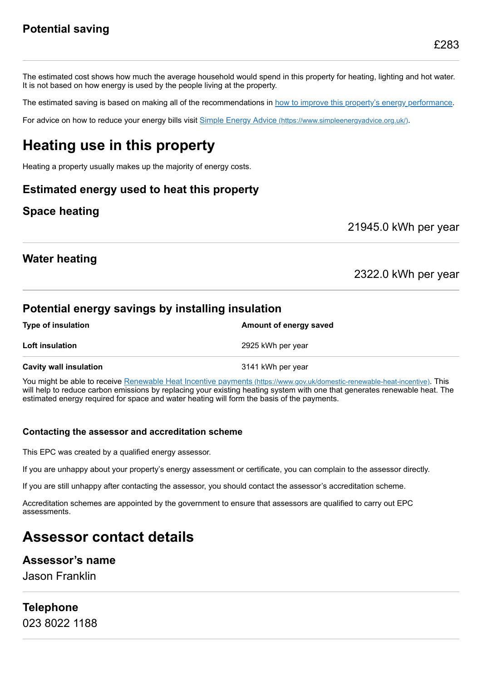The estimated cost shows how much the average household would spend in this property for heating, lighting and hot water. It is not based on how energy is used by the people living at the property.

The estimated saving is based on making all of the recommendations in [how to improve this property's energy performance.](#page-3-0)

For advice on how to reduce your energy bills visit Simple Energy Advice [\(https://www.simpleenergyadvice.org.uk/\)](https://www.simpleenergyadvice.org.uk/).

# **Heating use in this property**

Heating a property usually makes up the majority of energy costs.

### **Estimated energy used to heat this property**

### **Space heating**

21945.0 kWh per year

### **Water heating**

2322.0 kWh per year

### **Potential energy savings by installing insulation**

| <b>Type of insulation</b>     | Amount of energy saved |
|-------------------------------|------------------------|
| <b>Loft insulation</b>        | 2925 kWh per year      |
| <b>Cavity wall insulation</b> | 3141 kWh per year      |

You might be able to receive Renewable Heat Incentive payments [\(https://www.gov.uk/domestic-renewable-heat-incentive\)](https://www.gov.uk/domestic-renewable-heat-incentive). This will help to reduce carbon emissions by replacing your existing heating system with one that generates renewable heat. The estimated energy required for space and water heating will form the basis of the payments.

#### **Contacting the assessor and accreditation scheme**

This EPC was created by a qualified energy assessor.

If you are unhappy about your property's energy assessment or certificate, you can complain to the assessor directly.

If you are still unhappy after contacting the assessor, you should contact the assessor's accreditation scheme.

Accreditation schemes are appointed by the government to ensure that assessors are qualified to carry out EPC assessments.

# **Assessor contact details**

#### **Assessor's name**

Jason Franklin

**Telephone** 023 8022 1188